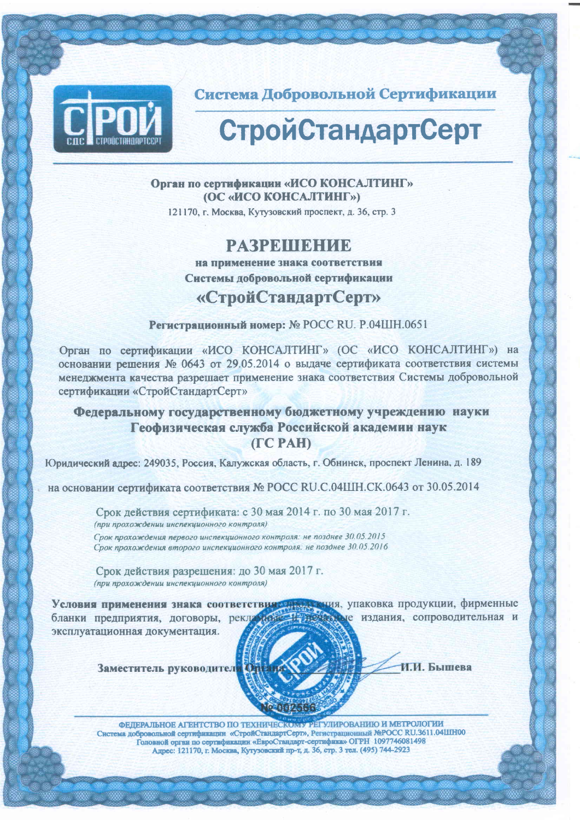

Система Добровольной Сертификации

# СтройСтандартСерт

Орган по сертификации «ИСО КОНСАЛТИНГ» (ОС «ИСО КОНСАЛТИНГ»)

121170. г. Москва, Кутузовский проспект, д. 36, стр. 3

## **PARPRILIBHUE**

на применение знака соответствия Системы добровольной сертификации

## «СтройСтандартСерт»

Регистрационный номер: № РОСС RU. Р.04ШН.0651

Орган по сертификации «ИСО КОНСАЛТИНГ» (ОС «ИСО КОНСАЛТИНГ») на основании решения № 0643 от 29.05.2014 о выдаче сертификата соответствия системы менеджмента качества разрешает применение знака соответствия Системы добровольной сертификации «СтройСтандартСерт»

#### Федеральному государственному бюджетному учреждению науки Геофизическая служба Российской академии наук (TC PAH)

Юридический адрес: 249035, Россия, Калужская область, г. Обнинск, проспект Ленина, д. 189

на основании сертификата соответствия № РОСС RU.C.04ШН.СК.0643 от 30.05.2014

Срок действия сертификата: с 30 мая 2014 г. по 30 мая 2017 г. (при прохождении инспекционного контроля) Срок прохождения первого инспекционного контроля: не позднее 30.05.2015 Срок прохождения второго инспекционного контроля: не позднее 30.05.2016

Срок действия разрешения: до 30 мая 2017 г. (при прохождении инспекционного контроля)

Условия применения знака соответствия данных, упаковка продукции, фирменные эксплуатационная документация.

Заместитель руководител



ФЕЛЕРАЛЬНОЕ АГЕНТСТВО ПО ТЕХНИЧЕСКОМУ РЕГУЛИРОВАНИЮ И МЕТРОЛОГИИ Система добровольной сертификации «СтройСтандартСерт», Регистрационный №РОСС RU.3611.04ШН00 Головной орган по сертификации «ЕвроСтандарт-сертифика» ОГРН 1097746081498 Адрес: 121170, г. Москва, Кутузовский пр-т, д. 36, стр. 3 тел. (495) 744-2923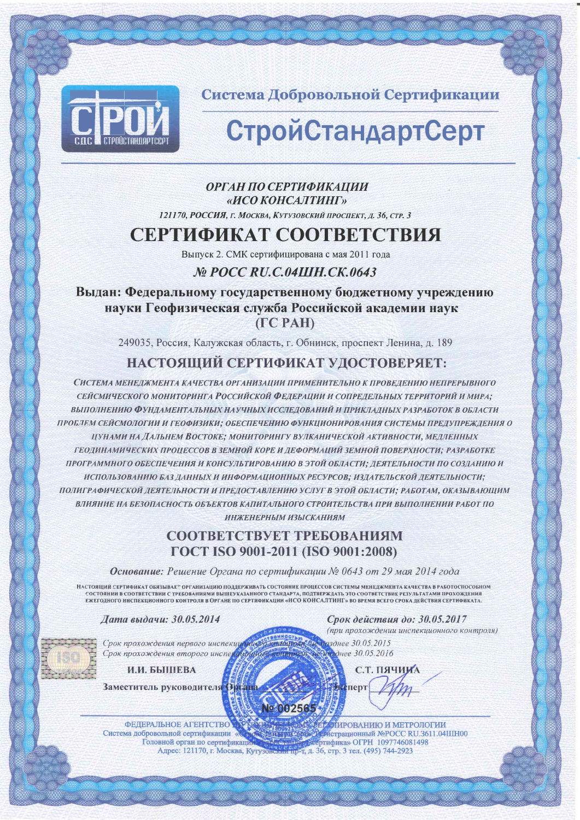

Система Добровольной Сертификации

# **СтройСтандартСерт**

#### ОРГАН ПО СЕРТИФИКАЦИИ «ИСО КОНСАЛТИНГ»

121170, РОССИЯ, г. Москва, Кутузовский проспект, д. 36, стр. 3

# СЕРТИФИКАТ СООТВЕТСТВИЯ

Выпуск 2. СМК сертифицирована с мая 2011 года

### Nº POCC RU.C.04IIIH.CK.0643

Выдан: Федеральному государственному бюджетному учреждению науки Геофизическая служба Российской академии наук  $(ICPAH)$ 

249035, Россия, Калужская область, г. Обнинск, проспект Ленина, д. 189

## НАСТОЯЩИЙ СЕРТИФИКАТ УДОСТОВЕРЯЕТ:

СИСТЕМА МЕНЕДЖМЕНТА КАЧЕСТВА ОРГАНИЗАЦИИ ПРИМЕНИТЕЛЬНО К ПРОВЕДЕНИЮ НЕПРЕРЫВНОГО СЕЙСМИЧЕСКОГО МОНИТОРИНГА РОССИЙСКОЙ ФЕДЕРАЦИИ И СОПРЕДЕЛЬНЫХ ТЕРРИТОРИЙ И МИРА; ВЫПОЛНЕНИЮ ФУНДАМЕНТАЛЬНЫХ НАУЧНЫХ ИССЛЕДОВАНИЙ И ПРИКЛАДНЫХ РАЗРАБОТОК В ОБЛАСТИ ПРОБЛЕМ СЕЙСМОЛОГИИ И ГЕОФИЗИКИ; ОБЕСПЕЧЕНИЮ ФУНКЦИОНИРОВАНИЯ СИСТЕМЫ ПРЕДУПРЕЖДЕНИЯ О ЦУНАМИ НА ДАЛЬНЕМ ВОСТОКЕ; МОНИТОРИНГУ ВУЛКАНИЧЕСКОЙ АКТИВНОСТИ, МЕДЛЕННЫХ ГЕОДИНАМИЧЕСКИХ ПРОЦЕССОВ В ЗЕМНОЙ КОРЕ И ДЕФОРМАЦИЙ ЗЕМНОЙ ПОВЕРХНОСТИ; РАЗРАБОТКЕ ПРОГРАММНОГО ОБЕСПЕЧЕНИЯ И КОНСУЛЬТИРОВАНИЮ В ЭТОЙ ОБЛАСТИ; ДЕЯТЕЛЬНОСТИ ПО СОЗДАНИЮ И ИСПОЛЬЗОВАНИЮ БАЗ ДАННЫХ И ИНФОРМАЦИОННЫХ РЕСУРСОВ; ИЗДАТЕЛЬСКОЙ ДЕЯТЕЛЬНОСТИ; ПОЛИГРАФИЧЕСКОЙ ДЕЯТЕЛЬНОСТИ И ПРЕДОСТАВЛЕНИЮ УСЛУГ В ЭТОЙ ОБЛАСТИ; РАБОТАМ, ОКАЗЫВАЮЩИМ ВЛИЯНИЕ НА БЕЗОПАСНОСТЬ ОБЪЕКТОВ КАПИТАЛЬНОГО СТРОИТЕЛЬСТВА ПРИ ВЫПОЛНЕНИИ РАБОТ ПО ИНЖЕНЕРНЫМ ИЗЫСКАНИЯМ

### СООТВЕТСТВУЕТ ТРЕБОВАНИЯМ ГОСТ ISO 9001-2011 (ISO 9001:2008)

Основание: Решение Органа по сертификации № 0643 от 29 мая 2014 года

НАСТОЯЩИЙ СЕРТИФИКАТ ОБЯЗЫВАЕТ ОРГАНИЗАЦИЮ ПОЛЛЕРЖИВАТЬ СОСТОЯНИЕ ПРОЦЕССОВ СИСТЕМЫ МЕНЕЛЖМЕНТА КАЧЕСТВА В РАБОТОСПОСОБНОМ СОСТОЯНИИ В СООТВЕТСТВИИ С ТРЕБОВАНИЯМИ ВЫШЕУКАЗАННОГО СТАНДАРТА, ПОДТВЕРЖДАТЬ ЭТО СООТВЕТСТВИЕ РЕЗУЛЬТАТАМИ ПРОХОЖДЕНИЯ ЕЖЕГОДНОГО ИНСПЕКЦИОННОГО КОНТРОЛЯ В ОРГАНЕ ПО СЕРТИФИКАЦИИ «ИСО КОНСАЛТИНГ» ВО ВРЕМЯ ВСЕГО СРОКА ДЕЙСТВИЯ СЕРТИФИКАТА.

No.002565

Дата выдачи: 30.05.2014

Срок действия до: 30.05.2017 (при прохождении инспекционного контроля)

Срок прохождения первого инспекцу Срок прохождения второго инсп

И.И. БЫШЕВА

Заместитель руководителя

**ФЕДЕРАЛЬНОЕ АГЕНТСТВО** Система добровольной сертификации « Головной орган по сертификац Вонее 30.05.2016 С.Т. ПЯЧИИА перт

зднее 30.05.2015

ИИРОВАНИЮ И МЕТРОЛОГИИ ИСТРАНИОННЫЙ NºPOCC RU 3611 04HHOO ртифика» ОГРН 1097746081498 Адрес: 121170, г. Москва, Кутузовский пр-т, д. 36, стр. 3 тел. (495) 744-2923